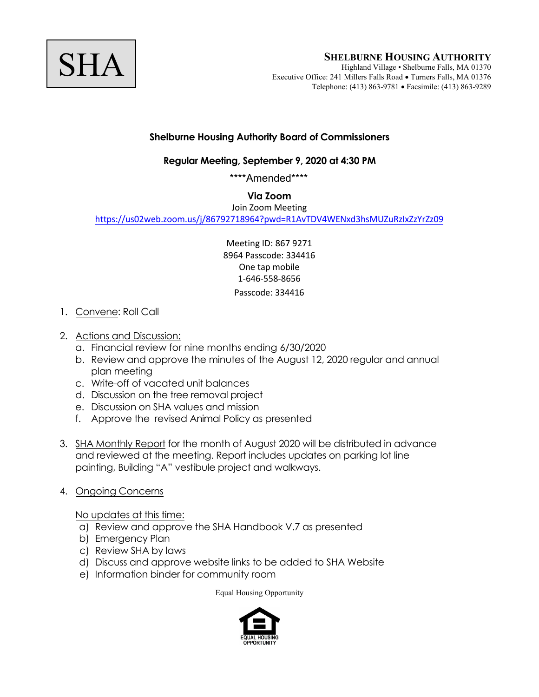

## **Shelburne Housing Authority Board of Commissioners**

## **Regular Meeting, September 9, 2020 at 4:30 PM**

\*\*\*\*Amended\*\*\*\*

## **Via Zoom**

Join [Zoom Meeting](https://us02web.zoom.us/j/86792718964?pwd=R1AvTDV4WENxd3hsMUZuRzIxZzYrZz09) 

https://us02web.zoom.us/j/86792718964?pwd=R1AvTDV4WENxd3hsMUZuRzIxZzYrZz09

Meeting ID: 867 9271 8964 Passcode: 334416 One tap mobile 1-646-558-8656 Passcode: 334416

- 1. Convene: Roll Call
- 2. Actions and Discussion:
	- a. Financial review for nine months ending 6/30/2020
	- b. Review and approve the minutes of the August 12, 2020 regular and annual plan meeting
	- c. Write-off of vacated unit balances
	- d. Discussion on the tree removal project
	- e. Discussion on SHA values and mission
	- f. Approve the revised Animal Policy as presented
- 3. SHA Monthly Report for the month of August 2020 will be distributed in advance and reviewed at the meeting. Report includes updates on parking lot line painting, Building "A" vestibule project and walkways.
- 4. Ongoing Concerns

No updates at this time:

- a) Review and approve the SHA Handbook V.7 as presented
- b) Emergency Plan
- c) Review SHA by laws
- d) Discuss and approve website links to be added to SHA Website
- e) Information binder for community room

Equal Housing Opportunity